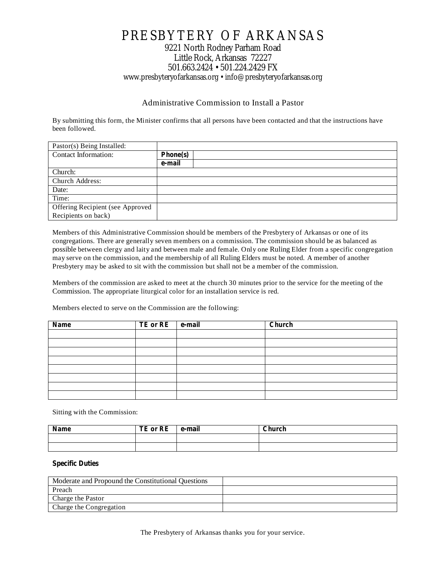# PRESBYTERY OF ARKANSAS 9221 North Rodney Parham Road Little Rock, Arkansas 72227 501.663.2424 • 501.224.2429 FX www.presbyteryofarkansas.org • info@presbyteryofarkansas.org

### Administrative Commission to Install a Pastor

By submitting this form, the Minister confirms that all persons have been contacted and that the instructions have been followed.

| Pastor(s) Being Installed:       |          |
|----------------------------------|----------|
| Contact Information:             | Phone(s) |
|                                  | e-mail   |
| Church:                          |          |
| Church Address:                  |          |
| Date:                            |          |
| Time:                            |          |
| Offering Recipient (see Approved |          |
| Recipients on back)              |          |

Members of this Administrative Commission should be members of the Presbytery of Arkansas or one of its congregations. There are generally seven members on a commission. The commission should be as balanced as possible between clergy and laity and between male and female. Only one Ruling Elder from a specific congregation may serve on the commission, and the membership of all Ruling Elders must be noted. A member of another Presbytery may be asked to sit with the commission but shall not be a member of the commission.

Members of the commission are asked to meet at the church 30 minutes prior to the service for the meeting of the Commission. The appropriate liturgical color for an installation service is red.

Members elected to serve on the Commission are the following:

| Name | TE or RE | e-mail | Church |
|------|----------|--------|--------|
|      |          |        |        |
|      |          |        |        |
|      |          |        |        |
|      |          |        |        |
|      |          |        |        |
|      |          |        |        |
|      |          |        |        |
|      |          |        |        |

Sitting with the Commission:

| Name | TE or RE | e-mail | Church |
|------|----------|--------|--------|
|      |          |        |        |
|      |          |        |        |

#### **Specific Duties**

| Moderate and Propound the Constitutional Questions |  |
|----------------------------------------------------|--|
| Preach                                             |  |
| Charge the Pastor                                  |  |
| Charge the Congregation                            |  |

The Presbytery of Arkansas thanks you for your service.